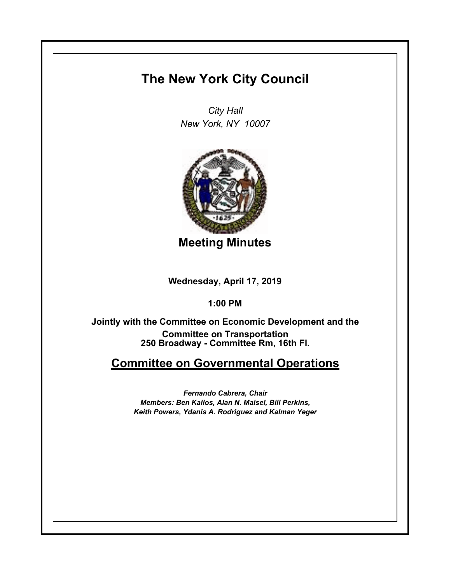## **The New York City Council**

*City Hall New York, NY 10007*



**Meeting Minutes**

**Wednesday, April 17, 2019**

**1:00 PM**

**250 Broadway - Committee Rm, 16th Fl. Jointly with the Committee on Economic Development and the Committee on Transportation**

## **Committee on Governmental Operations**

*Fernando Cabrera, Chair Members: Ben Kallos, Alan N. Maisel, Bill Perkins, Keith Powers, Ydanis A. Rodriguez and Kalman Yeger*